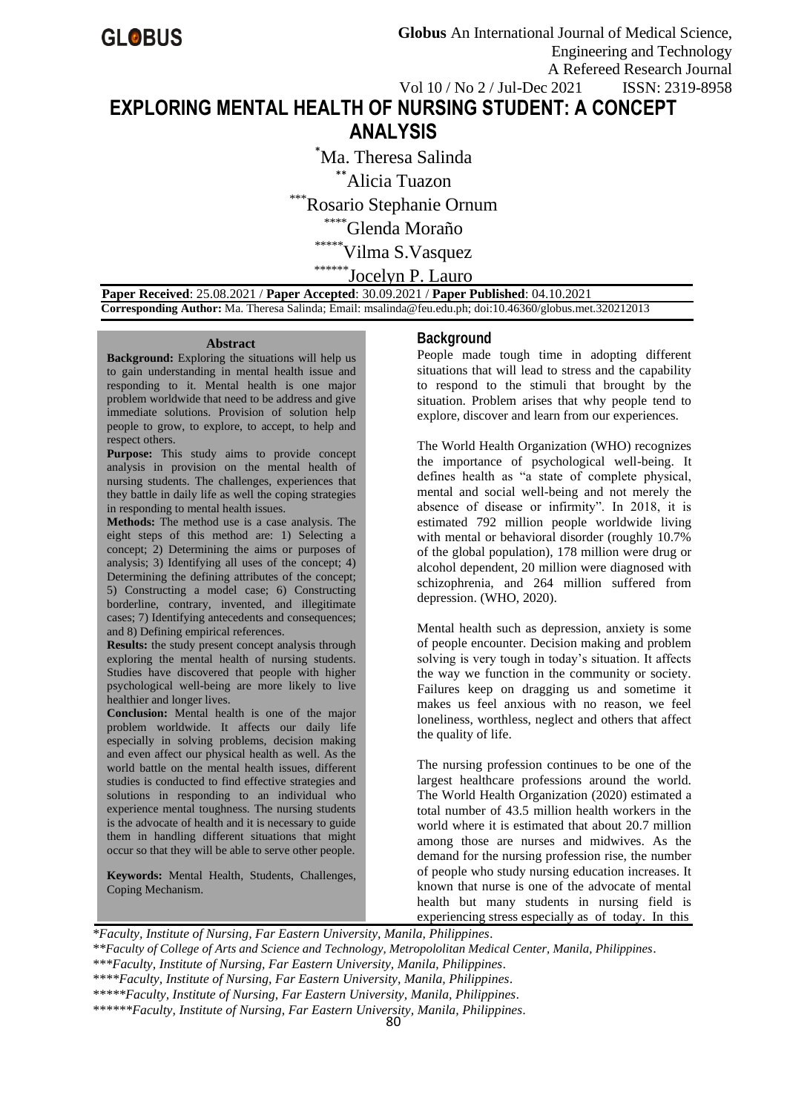# **EXPLORING MENTAL HEALTH OF NURSING STUDENT: A CONCEPT ANALYSIS**

\*Ma. Theresa Salinda

\*\*Alicia Tuazon

Rosario Stephanie Ornum

\*\*\*\*Glenda Moraño

\*\*\*\*\*\*Vilma S.Vasquez

\*\*\*\*\*\*Jocelyn P. Lauro

 **Paper Received**: 25.08.2021 / **Paper Accepted**: 30.09.2021 / **Paper Published**: 04.10.2021  **Corresponding Author:** Ma. Theresa Salinda; Email: msalinda@feu.edu.ph; doi:10.46360/globus.met.320212013

#### **Abstract**

**Background:** Exploring the situations will help us to gain understanding in mental health issue and responding to it. Mental health is one major problem worldwide that need to be address and give immediate solutions. Provision of solution help people to grow, to explore, to accept, to help and respect others.

**Purpose:** This study aims to provide concept analysis in provision on the mental health of nursing students. The challenges, experiences that they battle in daily life as well the coping strategies in responding to mental health issues.

**Methods:** The method use is a case analysis. The eight steps of this method are: 1) Selecting a concept; 2) Determining the aims or purposes of analysis; 3) Identifying all uses of the concept; 4) Determining the defining attributes of the concept; 5) Constructing a model case; 6) Constructing borderline, contrary, invented, and illegitimate cases; 7) Identifying antecedents and consequences; and 8) Defining empirical references.

**Results:** the study present concept analysis through exploring the mental health of nursing students. Studies have discovered that people with higher psychological well-being are more likely to live healthier and longer lives.

**Conclusion:** Mental health is one of the major problem worldwide. It affects our daily life especially in solving problems, decision making and even affect our physical health as well. As the world battle on the mental health issues, different studies is conducted to find effective strategies and solutions in responding to an individual who experience mental toughness. The nursing students is the advocate of health and it is necessary to guide them in handling different situations that might occur so that they will be able to serve other people.

**Keywords:** Mental Health, Students, Challenges, Coping Mechanism.

## **Background**

People made tough time in adopting different situations that will lead to stress and the capability to respond to the stimuli that brought by the situation. Problem arises that why people tend to explore, discover and learn from our experiences.

The World Health Organization (WHO) recognizes the importance of psychological well-being. It defines health as "a state of complete physical, mental and social well-being and not merely the absence of disease or infirmity". In 2018, it is estimated 792 million people worldwide living with mental or behavioral disorder (roughly 10.7% of the global population), 178 million were drug or alcohol dependent, 20 million were diagnosed with schizophrenia, and 264 million suffered from depression. (WHO, 2020).

Mental health such as depression, anxiety is some of people encounter. Decision making and problem solving is very tough in today's situation. It affects the way we function in the community or society. Failures keep on dragging us and sometime it makes us feel anxious with no reason, we feel loneliness, worthless, neglect and others that affect the quality of life.

The nursing profession continues to be one of the largest healthcare professions around the world. The World Health Organization (2020) estimated a total number of 43.5 million health workers in the world where it is estimated that about 20.7 million among those are nurses and midwives. As the demand for the nursing profession rise, the number of people who study nursing education increases. It known that nurse is one of the advocate of mental health but many students in nursing field is experiencing stress especially as of today. In this

*\*Faculty, Institute of Nursing, Far Eastern University, Manila, Philippines. \*\*Faculty of College of Arts and Science and Technology, Metropololitan Medical Center, Manila, Philippines. \*\*\*Faculty, Institute of Nursing, Far Eastern University, Manila, Philippines. \*\*\*\*Faculty, Institute of Nursing, Far Eastern University, Manila, Philippines. \*\*\*\*\*Faculty, Institute of Nursing, Far Eastern University, Manila, Philippines. \*\*\*\*\*\*Faculty, Institute of Nursing, Far Eastern University, Manila, Philippines.*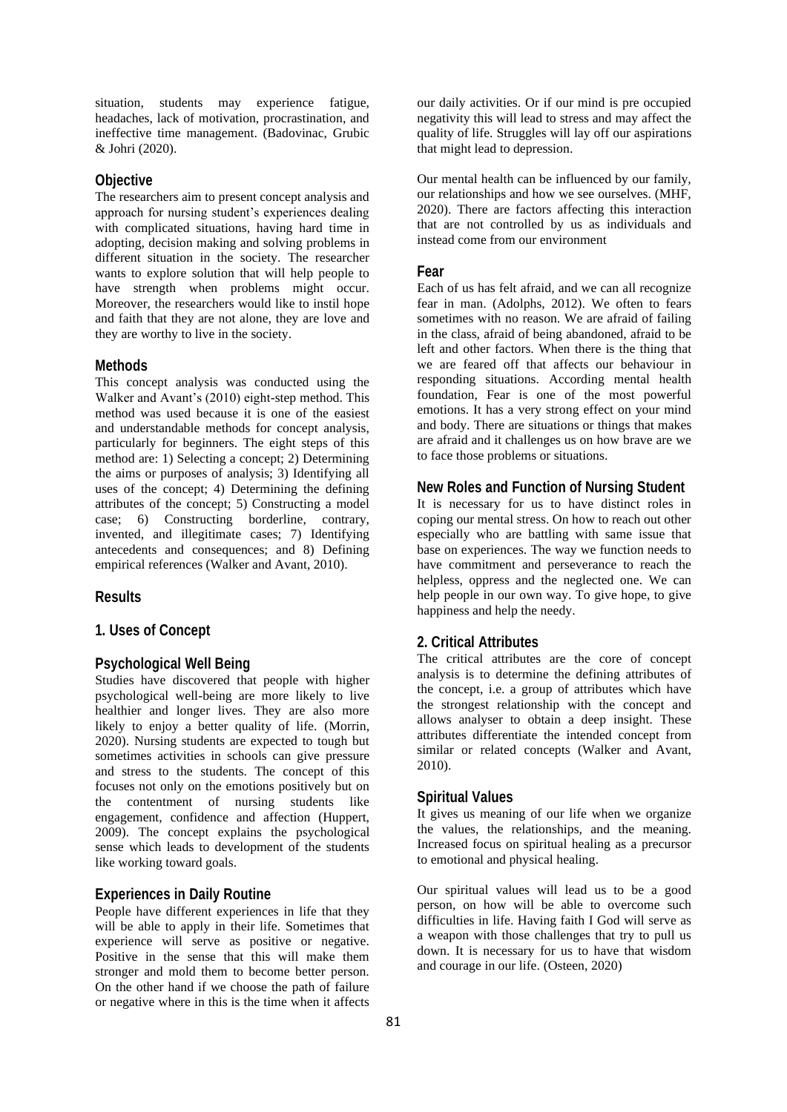situation, students may experience fatigue, headaches, lack of motivation, procrastination, and ineffective time management. (Badovinac, Grubic & Johri (2020).

# **Objective**

The researchers aim to present concept analysis and approach for nursing student's experiences dealing with complicated situations, having hard time in adopting, decision making and solving problems in different situation in the society. The researcher wants to explore solution that will help people to have strength when problems might occur. Moreover, the researchers would like to instil hope and faith that they are not alone, they are love and they are worthy to live in the society.

#### **Methods**

This concept analysis was conducted using the Walker and Avant's (2010) eight-step method. This method was used because it is one of the easiest and understandable methods for concept analysis, particularly for beginners. The eight steps of this method are: 1) Selecting a concept; 2) Determining the aims or purposes of analysis; 3) Identifying all uses of the concept; 4) Determining the defining attributes of the concept; 5) Constructing a model case; 6) Constructing borderline, contrary, invented, and illegitimate cases; 7) Identifying antecedents and consequences; and 8) Defining empirical references (Walker and Avant, 2010).

#### **Results**

# **1. Uses of Concept**

## **Psychological Well Being**

Studies have discovered that people with higher psychological well-being are more likely to live healthier and longer lives. They are also more likely to enjoy a better quality of life. (Morrin, 2020). Nursing students are expected to tough but sometimes activities in schools can give pressure and stress to the students. The concept of this focuses not only on the emotions positively but on the contentment of nursing students like engagement, confidence and affection (Huppert, 2009). The concept explains the psychological sense which leads to development of the students like working toward goals.

# **Experiences in Daily Routine**

People have different experiences in life that they will be able to apply in their life. Sometimes that experience will serve as positive or negative. Positive in the sense that this will make them stronger and mold them to become better person. On the other hand if we choose the path of failure or negative where in this is the time when it affects

our daily activities. Or if our mind is pre occupied negativity this will lead to stress and may affect the quality of life. Struggles will lay off our aspirations that might lead to depression.

Our mental health can be influenced by our family, our relationships and how we see ourselves. (MHF, 2020). There are factors affecting this interaction that are not controlled by us as individuals and instead come from our environment

#### **Fear**

Each of us has felt afraid, and we can all recognize fear in man. (Adolphs, 2012). We often to fears sometimes with no reason. We are afraid of failing in the class, afraid of being abandoned, afraid to be left and other factors. When there is the thing that we are feared off that affects our behaviour in responding situations. According mental health foundation, Fear is one of the most powerful emotions. It has a very strong effect on your mind and body. There are situations or things that makes are afraid and it challenges us on how brave are we to face those problems or situations.

# **New Roles and Function of Nursing Student**

It is necessary for us to have distinct roles in coping our mental stress. On how to reach out other especially who are battling with same issue that base on experiences. The way we function needs to have commitment and perseverance to reach the helpless, oppress and the neglected one. We can help people in our own way. To give hope, to give happiness and help the needy.

## **2. Critical Attributes**

The critical attributes are the core of concept analysis is to determine the defining attributes of the concept, i.e. a group of attributes which have the strongest relationship with the concept and allows analyser to obtain a deep insight. These attributes differentiate the intended concept from similar or related concepts (Walker and Avant, 2010).

#### **Spiritual Values**

It gives us meaning of our life when we organize the values, the relationships, and the meaning. Increased focus on spiritual healing as a precursor to emotional and physical healing.

Our spiritual values will lead us to be a good person, on how will be able to overcome such difficulties in life. Having faith I God will serve as a weapon with those challenges that try to pull us down. It is necessary for us to have that wisdom and courage in our life. (Osteen, 2020)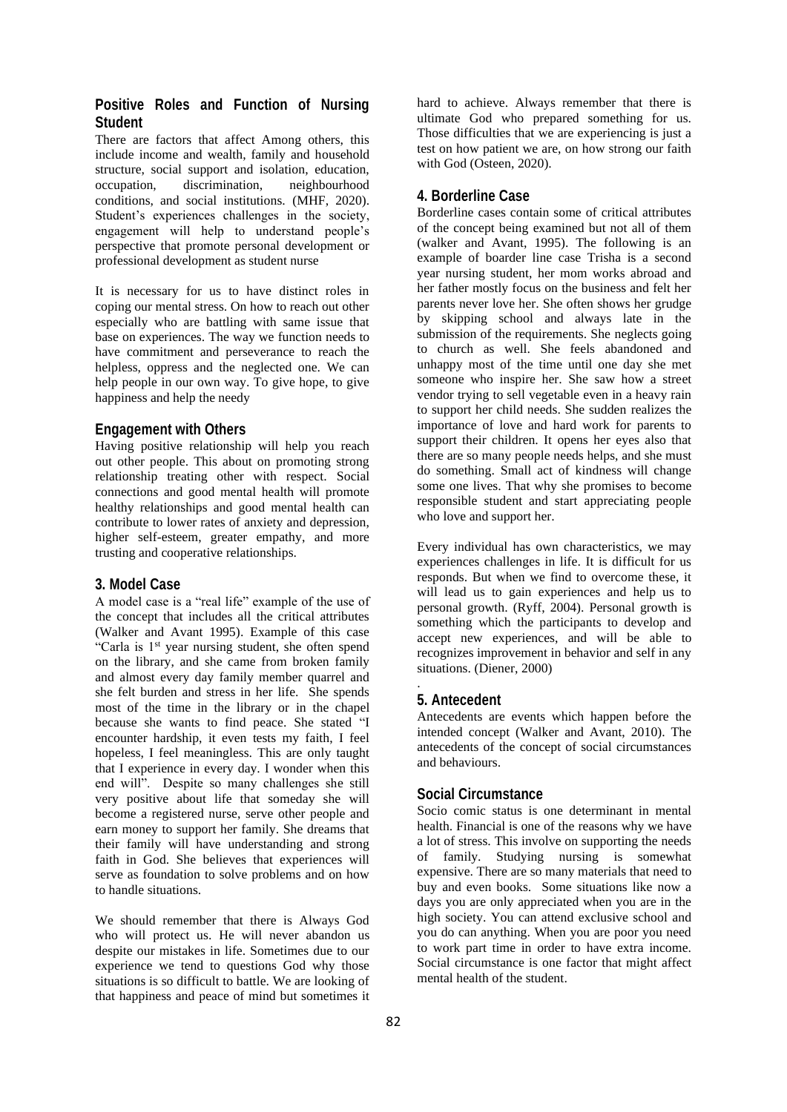# **Positive Roles and Function of Nursing Student**

There are factors that affect Among others, this include income and wealth, family and household structure, social support and isolation, education, occupation, discrimination, neighbourhood conditions, and social institutions. (MHF, 2020). Student's experiences challenges in the society, engagement will help to understand people's perspective that promote personal development or professional development as student nurse

It is necessary for us to have distinct roles in coping our mental stress. On how to reach out other especially who are battling with same issue that base on experiences. The way we function needs to have commitment and perseverance to reach the helpless, oppress and the neglected one. We can help people in our own way. To give hope, to give happiness and help the needy

# **Engagement with Others**

Having positive relationship will help you reach out other people. This about on promoting strong relationship treating other with respect. Social connections and good mental health will promote healthy relationships and good mental health can contribute to lower rates of anxiety and depression, higher self-esteem, greater empathy, and more trusting and cooperative relationships.

# **3. Model Case**

A model case is a "real life" example of the use of the concept that includes all the critical attributes (Walker and Avant 1995). Example of this case "Carla is 1<sup>st</sup> year nursing student, she often spend on the library, and she came from broken family and almost every day family member quarrel and she felt burden and stress in her life. She spends most of the time in the library or in the chapel because she wants to find peace. She stated "I encounter hardship, it even tests my faith, I feel hopeless, I feel meaningless. This are only taught that I experience in every day. I wonder when this end will". Despite so many challenges she still very positive about life that someday she will become a registered nurse, serve other people and earn money to support her family. She dreams that their family will have understanding and strong faith in God. She believes that experiences will serve as foundation to solve problems and on how to handle situations.

We should remember that there is Always God who will protect us. He will never abandon us despite our mistakes in life. Sometimes due to our experience we tend to questions God why those situations is so difficult to battle. We are looking of that happiness and peace of mind but sometimes it hard to achieve. Always remember that there is ultimate God who prepared something for us. Those difficulties that we are experiencing is just a test on how patient we are, on how strong our faith with God (Osteen, 2020).

# **4. Borderline Case**

Borderline cases contain some of critical attributes of the concept being examined but not all of them (walker and Avant, 1995). The following is an example of boarder line case Trisha is a second year nursing student, her mom works abroad and her father mostly focus on the business and felt her parents never love her. She often shows her grudge by skipping school and always late in the submission of the requirements. She neglects going to church as well. She feels abandoned and unhappy most of the time until one day she met someone who inspire her. She saw how a street vendor trying to sell vegetable even in a heavy rain to support her child needs. She sudden realizes the importance of love and hard work for parents to support their children. It opens her eyes also that there are so many people needs helps, and she must do something. Small act of kindness will change some one lives. That why she promises to become responsible student and start appreciating people who love and support her.

Every individual has own characteristics, we may experiences challenges in life. It is difficult for us responds. But when we find to overcome these, it will lead us to gain experiences and help us to personal growth. (Ryff, 2004). Personal growth is something which the participants to develop and accept new experiences, and will be able to recognizes improvement in behavior and self in any situations. (Diener, 2000)

# **5. Antecedent**

.

Antecedents are events which happen before the intended concept (Walker and Avant, 2010). The antecedents of the concept of social circumstances and behaviours.

# **Social Circumstance**

Socio comic status is one determinant in mental health. Financial is one of the reasons why we have a lot of stress. This involve on supporting the needs of family. Studying nursing is somewhat expensive. There are so many materials that need to buy and even books. Some situations like now a days you are only appreciated when you are in the high society. You can attend exclusive school and you do can anything. When you are poor you need to work part time in order to have extra income. Social circumstance is one factor that might affect mental health of the student.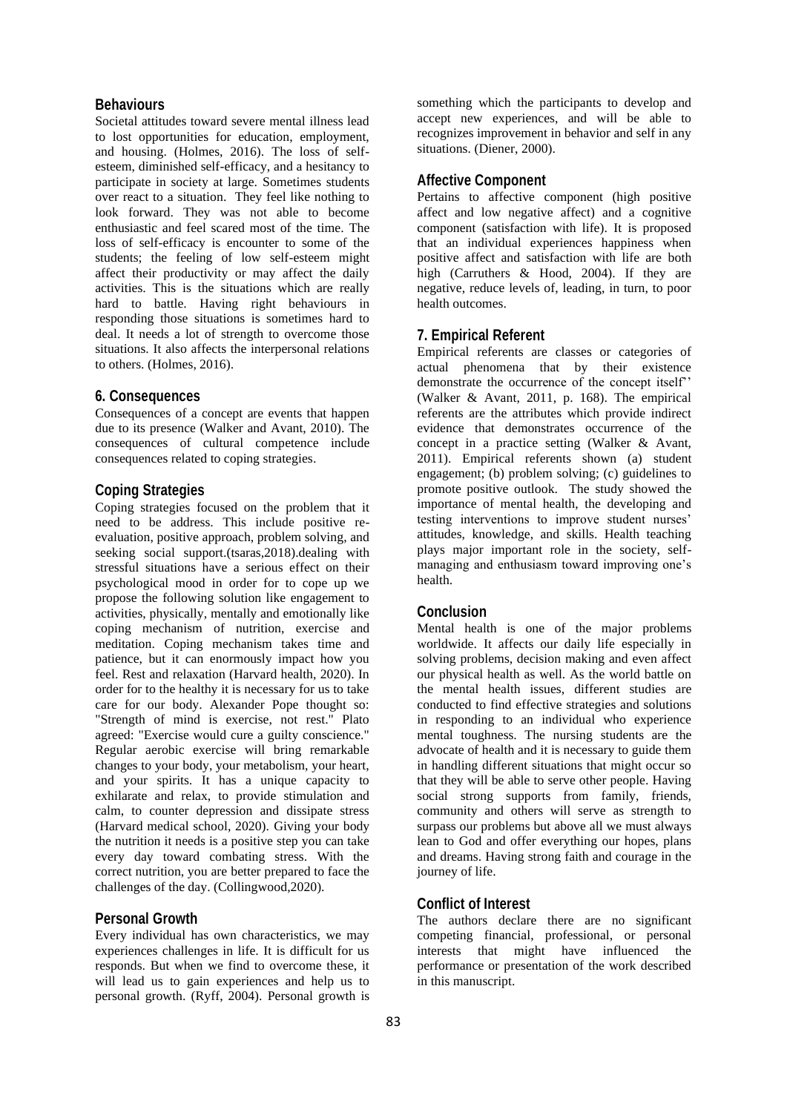# **Behaviours**

Societal attitudes toward severe mental illness lead to lost opportunities for education, employment, and housing. (Holmes, 2016). The loss of selfesteem, diminished self-efficacy, and a hesitancy to participate in society at large. Sometimes students over react to a situation. They feel like nothing to look forward. They was not able to become enthusiastic and feel scared most of the time. The loss of self-efficacy is encounter to some of the students; the feeling of low self-esteem might affect their productivity or may affect the daily activities. This is the situations which are really hard to battle. Having right behaviours in responding those situations is sometimes hard to deal. It needs a lot of strength to overcome those situations. It also affects the interpersonal relations to others. (Holmes, 2016).

# **6. Consequences**

Consequences of a concept are events that happen due to its presence (Walker and Avant, 2010). The consequences of cultural competence include consequences related to coping strategies.

# **Coping Strategies**

Coping strategies focused on the problem that it need to be address. This include positive reevaluation, positive approach, problem solving, and seeking social support.(tsaras,2018).dealing with stressful situations have a serious effect on their psychological mood in order for to cope up we propose the following solution like engagement to activities, physically, mentally and emotionally like coping mechanism of nutrition, exercise and meditation. Coping mechanism takes time and patience, but it can enormously impact how you feel. Rest and relaxation (Harvard health, 2020). In order for to the healthy it is necessary for us to take care for our body. Alexander Pope thought so: "Strength of mind is exercise, not rest." Plato agreed: "Exercise would cure a guilty conscience." Regular aerobic exercise will bring remarkable changes to your body, your metabolism, your heart, and your spirits. It has a unique capacity to exhilarate and relax, to provide stimulation and calm, to counter depression and dissipate stress (Harvard medical school, 2020). Giving your body the nutrition it needs is a positive step you can take every day toward combating stress. With the correct nutrition, you are better prepared to face the challenges of the day. (Collingwood,2020).

## **Personal Growth**

Every individual has own characteristics, we may experiences challenges in life. It is difficult for us responds. But when we find to overcome these, it will lead us to gain experiences and help us to personal growth. (Ryff, 2004). Personal growth is

something which the participants to develop and accept new experiences, and will be able to recognizes improvement in behavior and self in any situations. (Diener, 2000).

## **Affective Component**

Pertains to affective component (high positive affect and low negative affect) and a cognitive component (satisfaction with life). It is proposed that an individual experiences happiness when positive affect and satisfaction with life are both high (Carruthers & Hood, 2004). If they are negative, reduce levels of, leading, in turn, to poor health outcomes.

## **7. Empirical Referent**

Empirical referents are classes or categories of actual phenomena that by their existence demonstrate the occurrence of the concept itself'' (Walker & Avant, 2011, p. 168). The empirical referents are the attributes which provide indirect evidence that demonstrates occurrence of the concept in a practice setting (Walker & Avant, 2011). Empirical referents shown (a) student engagement; (b) problem solving; (c) guidelines to promote positive outlook. The study showed the importance of mental health, the developing and testing interventions to improve student nurses' attitudes, knowledge, and skills. Health teaching plays major important role in the society, selfmanaging and enthusiasm toward improving one's health.

# **Conclusion**

Mental health is one of the major problems worldwide. It affects our daily life especially in solving problems, decision making and even affect our physical health as well. As the world battle on the mental health issues, different studies are conducted to find effective strategies and solutions in responding to an individual who experience mental toughness. The nursing students are the advocate of health and it is necessary to guide them in handling different situations that might occur so that they will be able to serve other people. Having social strong supports from family, friends, community and others will serve as strength to surpass our problems but above all we must always lean to God and offer everything our hopes, plans and dreams. Having strong faith and courage in the journey of life.

# **Conflict of Interest**

The authors declare there are no significant competing financial, professional, or personal interests that might have influenced the performance or presentation of the work described in this manuscript.